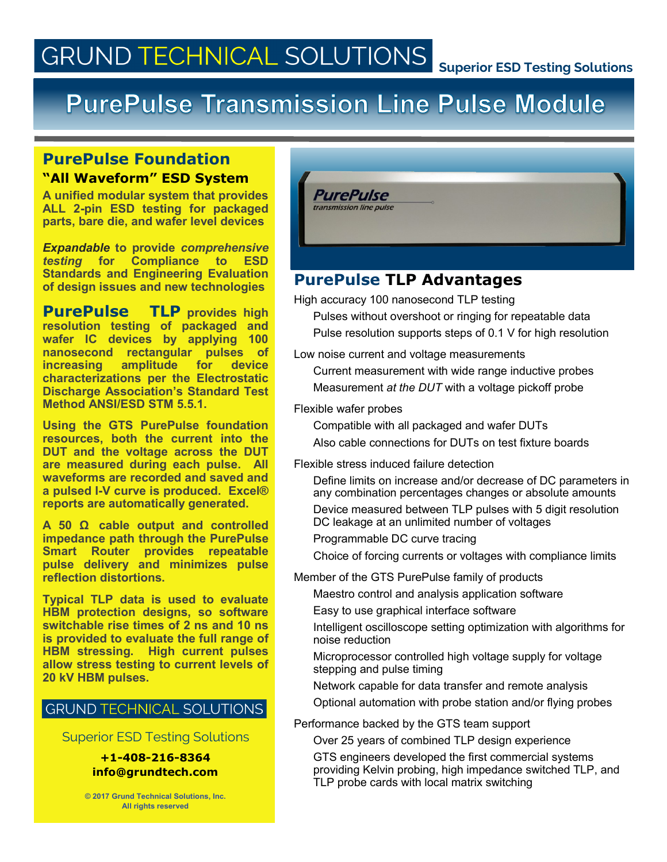# **GRUND TECHNICAL SOLUTIONS**

# **PurePulse Transmission Line Pulse Module**

# **PurePulse Foundation "All Waveform" ESD System**

**A unified modular system that provides ALL 2-pin ESD testing for packaged parts, bare die, and wafer level devices**

*Expandable* **to provide** *comprehensive testing* **for Compliance to ESD Standards and Engineering Evaluation of design issues and new technologies**

**PurePulse TLP provides high resolution testing of packaged and wafer IC devices by applying 100 nanosecond rectangular pulses of increasing amplitude for device characterizations per the Electrostatic Discharge Association's Standard Test Method ANSI/ESD STM 5.5.1.** 

**Using the GTS PurePulse foundation resources, both the current into the DUT and the voltage across the DUT are measured during each pulse. All waveforms are recorded and saved and a pulsed I-V curve is produced. Excel® reports are automatically generated.** 

**A 50 Ω cable output and controlled impedance path through the PurePulse Smart Router provides repeatable pulse delivery and minimizes pulse reflection distortions.**

**Typical TLP data is used to evaluate HBM protection designs, so software switchable rise times of 2 ns and 10 ns is provided to evaluate the full range of HBM stressing. High current pulses allow stress testing to current levels of 20 kV HBM pulses.**

### **GRUND TECHNICAL SOLUTIONS**

Superior ESD Testing Solutions

#### **+1-408-216-8364 info@grundtech.com**

**© 2017 Grund Technical Solutions, Inc. All rights reserved**



# **PurePulse TLP Advantages**

High accuracy 100 nanosecond TLP testing

Pulses without overshoot or ringing for repeatable data Pulse resolution supports steps of 0.1 V for high resolution

Low noise current and voltage measurements

Current measurement with wide range inductive probes Measurement *at the DUT* with a voltage pickoff probe

Flexible wafer probes

Compatible with all packaged and wafer DUTs Also cable connections for DUTs on test fixture boards

Flexible stress induced failure detection

Define limits on increase and/or decrease of DC parameters in any combination percentages changes or absolute amounts Device measured between TLP pulses with 5 digit resolution

DC leakage at an unlimited number of voltages

Programmable DC curve tracing

Choice of forcing currents or voltages with compliance limits

Member of the GTS PurePulse family of products

Maestro control and analysis application software

Easy to use graphical interface software

Intelligent oscilloscope setting optimization with algorithms for noise reduction

Microprocessor controlled high voltage supply for voltage stepping and pulse timing

Network capable for data transfer and remote analysis

Optional automation with probe station and/or flying probes

Performance backed by the GTS team support

Over 25 years of combined TLP design experience

GTS engineers developed the first commercial systems providing Kelvin probing, high impedance switched TLP, and TLP probe cards with local matrix switching